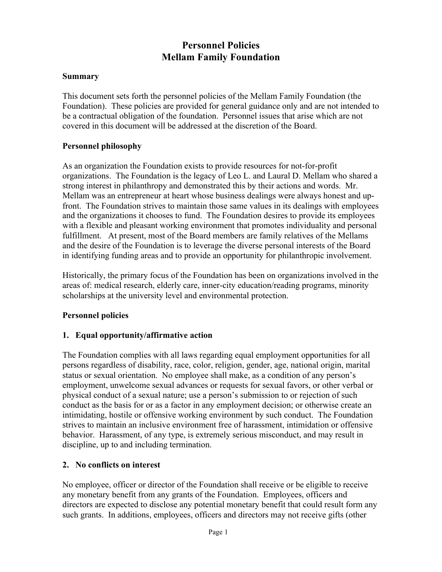# **Personnel Policies Mellam Family Foundation**

### **Summary**

This document sets forth the personnel policies of the Mellam Family Foundation (the Foundation). These policies are provided for general guidance only and are not intended to be a contractual obligation of the foundation. Personnel issues that arise which are not covered in this document will be addressed at the discretion of the Board.

### **Personnel philosophy**

As an organization the Foundation exists to provide resources for not-for-profit organizations. The Foundation is the legacy of Leo L. and Laural D. Mellam who shared a strong interest in philanthropy and demonstrated this by their actions and words. Mr. Mellam was an entrepreneur at heart whose business dealings were always honest and upfront. The Foundation strives to maintain those same values in its dealings with employees and the organizations it chooses to fund. The Foundation desires to provide its employees with a flexible and pleasant working environment that promotes individuality and personal fulfillment. At present, most of the Board members are family relatives of the Mellams and the desire of the Foundation is to leverage the diverse personal interests of the Board in identifying funding areas and to provide an opportunity for philanthropic involvement.

Historically, the primary focus of the Foundation has been on organizations involved in the areas of: medical research, elderly care, inner-city education/reading programs, minority scholarships at the university level and environmental protection.

#### **Personnel policies**

### **1. Equal opportunity/affirmative action**

The Foundation complies with all laws regarding equal employment opportunities for all persons regardless of disability, race, color, religion, gender, age, national origin, marital status or sexual orientation. No employee shall make, as a condition of any person's employment, unwelcome sexual advances or requests for sexual favors, or other verbal or physical conduct of a sexual nature; use a person's submission to or rejection of such conduct as the basis for or as a factor in any employment decision; or otherwise create an intimidating, hostile or offensive working environment by such conduct. The Foundation strives to maintain an inclusive environment free of harassment, intimidation or offensive behavior. Harassment, of any type, is extremely serious misconduct, and may result in discipline, up to and including termination.

#### **2. No conflicts on interest**

No employee, officer or director of the Foundation shall receive or be eligible to receive any monetary benefit from any grants of the Foundation. Employees, officers and directors are expected to disclose any potential monetary benefit that could result form any such grants. In additions, employees, officers and directors may not receive gifts (other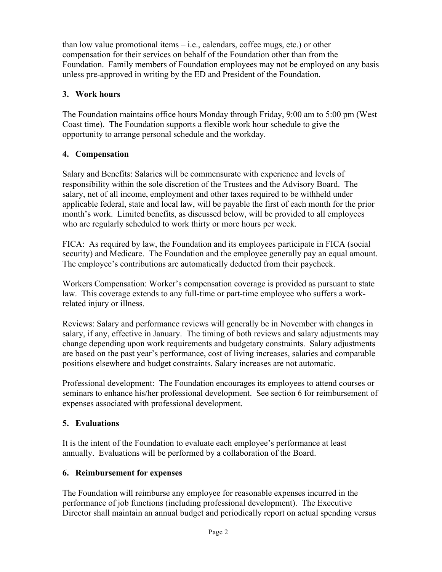than low value promotional items – i.e., calendars, coffee mugs, etc.) or other compensation for their services on behalf of the Foundation other than from the Foundation. Family members of Foundation employees may not be employed on any basis unless pre-approved in writing by the ED and President of the Foundation.

## **3. Work hours**

The Foundation maintains office hours Monday through Friday, 9:00 am to 5:00 pm (West Coast time). The Foundation supports a flexible work hour schedule to give the opportunity to arrange personal schedule and the workday.

## **4. Compensation**

Salary and Benefits: Salaries will be commensurate with experience and levels of responsibility within the sole discretion of the Trustees and the Advisory Board. The salary, net of all income, employment and other taxes required to be withheld under applicable federal, state and local law, will be payable the first of each month for the prior month's work. Limited benefits, as discussed below, will be provided to all employees who are regularly scheduled to work thirty or more hours per week.

FICA: As required by law, the Foundation and its employees participate in FICA (social security) and Medicare. The Foundation and the employee generally pay an equal amount. The employee's contributions are automatically deducted from their paycheck.

Workers Compensation: Worker's compensation coverage is provided as pursuant to state law. This coverage extends to any full-time or part-time employee who suffers a workrelated injury or illness.

Reviews: Salary and performance reviews will generally be in November with changes in salary, if any, effective in January. The timing of both reviews and salary adjustments may change depending upon work requirements and budgetary constraints. Salary adjustments are based on the past year's performance, cost of living increases, salaries and comparable positions elsewhere and budget constraints. Salary increases are not automatic.

Professional development: The Foundation encourages its employees to attend courses or seminars to enhance his/her professional development. See section 6 for reimbursement of expenses associated with professional development.

## **5. Evaluations**

It is the intent of the Foundation to evaluate each employee's performance at least annually. Evaluations will be performed by a collaboration of the Board.

### **6. Reimbursement for expenses**

The Foundation will reimburse any employee for reasonable expenses incurred in the performance of job functions (including professional development). The Executive Director shall maintain an annual budget and periodically report on actual spending versus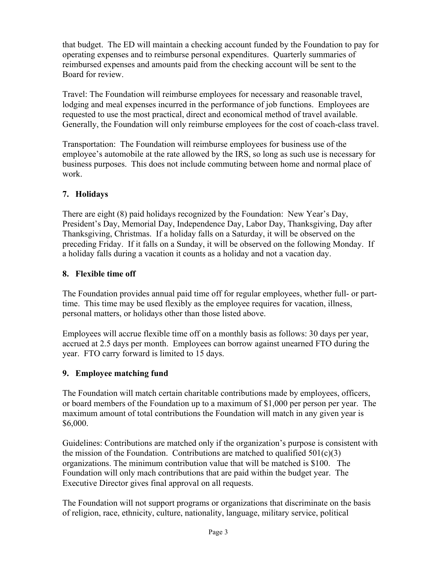that budget. The ED will maintain a checking account funded by the Foundation to pay for operating expenses and to reimburse personal expenditures. Quarterly summaries of reimbursed expenses and amounts paid from the checking account will be sent to the Board for review.

Travel: The Foundation will reimburse employees for necessary and reasonable travel, lodging and meal expenses incurred in the performance of job functions. Employees are requested to use the most practical, direct and economical method of travel available. Generally, the Foundation will only reimburse employees for the cost of coach-class travel.

Transportation: The Foundation will reimburse employees for business use of the employee's automobile at the rate allowed by the IRS, so long as such use is necessary for business purposes. This does not include commuting between home and normal place of work.

## **7. Holidays**

There are eight (8) paid holidays recognized by the Foundation: New Year's Day, President's Day, Memorial Day, Independence Day, Labor Day, Thanksgiving, Day after Thanksgiving, Christmas. If a holiday falls on a Saturday, it will be observed on the preceding Friday. If it falls on a Sunday, it will be observed on the following Monday. If a holiday falls during a vacation it counts as a holiday and not a vacation day.

## **8. Flexible time off**

The Foundation provides annual paid time off for regular employees, whether full- or parttime. This time may be used flexibly as the employee requires for vacation, illness, personal matters, or holidays other than those listed above.

Employees will accrue flexible time off on a monthly basis as follows: 30 days per year, accrued at 2.5 days per month. Employees can borrow against unearned FTO during the year. FTO carry forward is limited to 15 days.

## **9. Employee matching fund**

The Foundation will match certain charitable contributions made by employees, officers, or board members of the Foundation up to a maximum of \$1,000 per person per year. The maximum amount of total contributions the Foundation will match in any given year is \$6,000.

Guidelines: Contributions are matched only if the organization's purpose is consistent with the mission of the Foundation. Contributions are matched to qualified  $501(c)(3)$ organizations. The minimum contribution value that will be matched is \$100. The Foundation will only mach contributions that are paid within the budget year. The Executive Director gives final approval on all requests.

The Foundation will not support programs or organizations that discriminate on the basis of religion, race, ethnicity, culture, nationality, language, military service, political